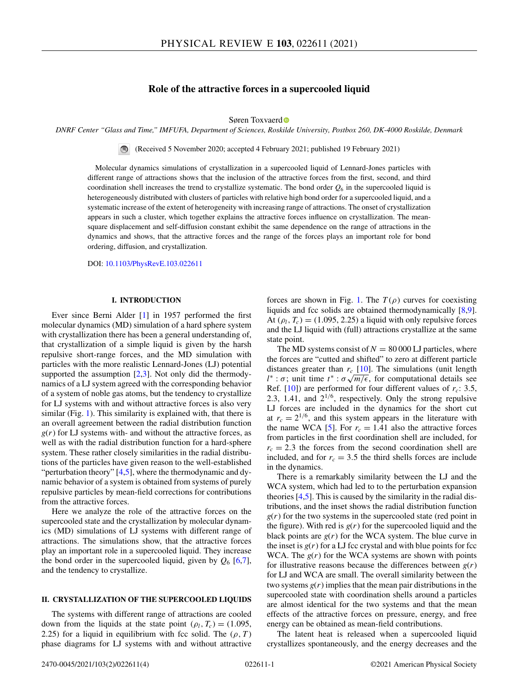# **Role of the attractive forces in a supercooled liquid**

Søren Toxvaer[d](https://orcid.org/0000-0002-0819-698X)

*DNRF Center "Glass and Time," IMFUFA, Department of Sciences, Roskilde University, Postbox 260, DK-4000 Roskilde, Denmark*

(Received 5 November 2020; accepted 4 February 2021; published 19 February 2021)  $\bigcirc$ 

Molecular dynamics simulations of crystallization in a supercooled liquid of Lennard-Jones particles with different range of attractions shows that the inclusion of the attractive forces from the first, second, and third coordination shell increases the trend to crystallize systematic. The bond order  $Q_6$  in the supercooled liquid is heterogeneously distributed with clusters of particles with relative high bond order for a supercooled liquid, and a systematic increase of the extent of heterogeneity with increasing range of attractions. The onset of crystallization appears in such a cluster, which together explains the attractive forces influence on crystallization. The meansquare displacement and self-diffusion constant exhibit the same dependence on the range of attractions in the dynamics and shows, that the attractive forces and the range of the forces plays an important role for bond ordering, diffusion, and crystallization.

DOI: [10.1103/PhysRevE.103.022611](https://doi.org/10.1103/PhysRevE.103.022611)

### **I. INTRODUCTION**

Ever since Berni Alder [\[1\]](#page-3-0) in 1957 performed the first molecular dynamics (MD) simulation of a hard sphere system with crystallization there has been a general understanding of, that crystallization of a simple liquid is given by the harsh repulsive short-range forces, and the MD simulation with particles with the more realistic Lennard-Jones (LJ) potential supported the assumption  $[2,3]$ . Not only did the thermodynamics of a LJ system agreed with the corresponding behavior of a system of noble gas atoms, but the tendency to crystallize for LJ systems with and without attractive forces is also very similar (Fig. [1\)](#page-1-0). This similarity is explained with, that there is an overall agreement between the radial distribution function  $g(r)$  for LJ systems with- and without the attractive forces, as well as with the radial distribution function for a hard-sphere system. These rather closely similarities in the radial distributions of the particles have given reason to the well-established "perturbation theory"  $[4,5]$ , where the thermodynamic and dynamic behavior of a system is obtained from systems of purely repulsive particles by mean-field corrections for contributions from the attractive forces.

Here we analyze the role of the attractive forces on the supercooled state and the crystallization by molecular dynamics (MD) simulations of LJ systems with different range of attractions. The simulations show, that the attractive forces play an important role in a supercooled liquid. They increase the bond order in the supercooled liquid, given by  $Q_6$  [\[6,7\]](#page-3-0), and the tendency to crystallize.

### **II. CRYSTALLIZATION OF THE SUPERCOOLED LIQUIDS**

The systems with different range of attractions are cooled down from the liquids at the state point ( $\rho_l$ ,  $T_c$ ) = (1.095, 2.25) for a liquid in equilibrium with fcc solid. The  $(\rho, T)$ phase diagrams for LJ systems with and without attractive

forces are shown in Fig. [1.](#page-1-0) The  $T(\rho)$  curves for coexisting liquids and fcc solids are obtained thermodynamically [\[8,9\]](#page-3-0). At  $(\rho_l, T_c) = (1.095, 2.25)$  a liquid with only repulsive forces and the LJ liquid with (full) attractions crystallize at the same state point.

The MD systems consist of  $N = 80000$  LJ particles, where the forces are "cutted and shifted" to zero at different particle distances greater than  $r_c$  [\[10\]](#page-3-0). The simulations (unit length *l*<sup>\*</sup> :  $\sigma$ ; unit time  $t^*$  :  $\sigma \sqrt{m/\epsilon}$ , for computational details see Ref.  $[10]$ ) are performed for four different values of  $r_c$ : 3.5, 2.3, 1.41, and  $2^{1/6}$ , respectively. Only the strong repulsive LJ forces are included in the dynamics for the short cut at  $r_c = 2^{1/6}$ , and this system appears in the literature with the name WCA  $[5]$ . For  $r_c = 1.41$  also the attractive forces from particles in the first coordination shell are included, for  $r_c = 2.3$  the forces from the second coordination shell are included, and for  $r_c = 3.5$  the third shells forces are include in the dynamics.

There is a remarkably similarity between the LJ and the WCA system, which had led to to the perturbation expansion theories [\[4,5\]](#page-3-0). This is caused by the similarity in the radial distributions, and the inset shows the radial distribution function  $g(r)$  for the two systems in the supercooled state (red point in the figure). With red is  $g(r)$  for the supercooled liquid and the black points are  $g(r)$  for the WCA system. The blue curve in the inset is  $g(r)$  for a LJ fcc crystal and with blue points for fcc WCA. The  $g(r)$  for the WCA systems are shown with points for illustrative reasons because the differences between  $g(r)$ for LJ and WCA are small. The overall similarity between the two systems  $g(r)$  implies that the mean pair distributions in the supercooled state with coordination shells around a particles are almost identical for the two systems and that the mean effects of the attractive forces on pressure, energy, and free energy can be obtained as mean-field contributions.

The latent heat is released when a supercooled liquid crystallizes spontaneously, and the energy decreases and the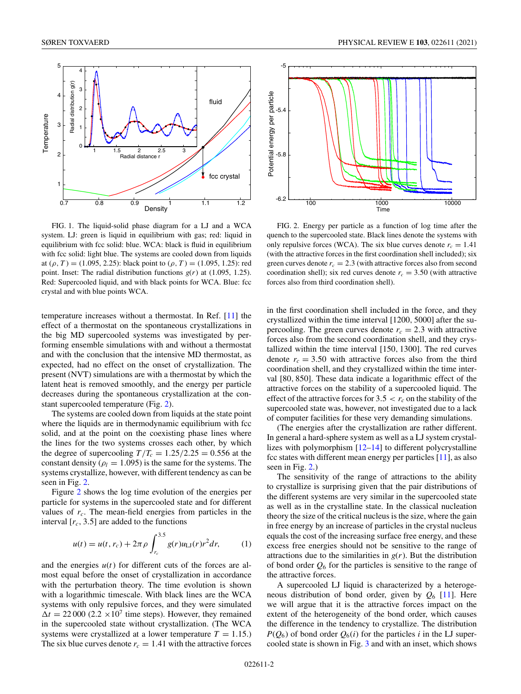<span id="page-1-0"></span>

FIG. 1. The liquid-solid phase diagram for a LJ and a WCA system. LJ: green is liquid in equilibrium with gas; red: liquid in equilibrium with fcc solid: blue. WCA: black is fluid in equilibrium with fcc solid: light blue. The systems are cooled down from liquids at ( $\rho$ , *T*) = (1.095, 2.25): black point to ( $\rho$ , *T*) = (1.095, 1.25): red point. Inset: The radial distribution functions  $g(r)$  at (1.095, 1.25). Red: Supercooled liquid, and with black points for WCA. Blue: fcc crystal and with blue points WCA.

temperature increases without a thermostat. In Ref. [\[11\]](#page-3-0) the effect of a thermostat on the spontaneous crystallizations in the big MD supercooled systems was investigated by performing ensemble simulations with and without a thermostat and with the conclusion that the intensive MD thermostat, as expected, had no effect on the onset of crystallization. The present (NVT) simulations are with a thermostat by which the latent heat is removed smoothly, and the energy per particle decreases during the spontaneous crystallization at the constant supercooled temperature (Fig. 2).

The systems are cooled down from liquids at the state point where the liquids are in thermodynamic equilibrium with fcc solid, and at the point on the coexisting phase lines where the lines for the two systems crosses each other, by which the degree of supercooling  $T/T_c = 1.25/2.25 = 0.556$  at the constant density ( $\rho_l = 1.095$ ) is the same for the systems. The systems crystallize, however, with different tendency as can be seen in Fig. 2.

Figure 2 shows the log time evolution of the energies per particle for systems in the supercooled state and for different values of  $r_c$ . The mean-field energies from particles in the interval  $[r<sub>c</sub>, 3.5]$  are added to the functions

$$
u(t) = u(t, r_c) + 2\pi \rho \int_{r_c}^{3.5} g(r)u_{\text{LJ}}(r)r^2 dr, \qquad (1)
$$

and the energies  $u(t)$  for different cuts of the forces are almost equal before the onset of crystallization in accordance with the perturbation theory. The time evolution is shown with a logarithmic timescale. With black lines are the WCA systems with only repulsive forces, and they were simulated  $\Delta t = 22000 (2.2 \times 10^7 \text{ time steps})$ . However, they remained in the supercooled state without crystallization. (The WCA systems were crystallized at a lower temperature  $T = 1.15$ .) The six blue curves denote  $r_c = 1.41$  with the attractive forces



FIG. 2. Energy per particle as a function of log time after the quench to the supercooled state. Black lines denote the systems with only repulsive forces (WCA). The six blue curves denote  $r_c = 1.41$ (with the attractive forces in the first coordination shell included); six green curves denote  $r_c = 2.3$  (with attractive forces also from second coordination shell); six red curves denote  $r_c = 3.50$  (with attractive forces also from third coordination shell).

in the first coordination shell included in the force, and they crystallized within the time interval [1200, 5000] after the supercooling. The green curves denote  $r_c = 2.3$  with attractive forces also from the second coordination shell, and they crystallized within the time interval [150, 1300]. The red curves denote  $r_c = 3.50$  with attractive forces also from the third coordination shell, and they crystallized within the time interval [80, 850]. These data indicate a logarithmic effect of the attractive forces on the stability of a supercooled liquid. The effect of the attractive forces for  $3.5 < r_c$  on the stability of the supercooled state was, however, not investigated due to a lack of computer facilities for these very demanding simulations.

(The energies after the crystallization are rather different. In general a hard-sphere system as well as a LJ system crystal-lizes with polymorphism [\[12–14\]](#page-3-0) to different polycrystalline fcc states with different mean energy per particles [\[11\]](#page-3-0), as also seen in Fig. 2.)

The sensitivity of the range of attractions to the ability to crystallize is surprising given that the pair distributions of the different systems are very similar in the supercooled state as well as in the crystalline state. In the classical nucleation theory the size of the critical nucleus is the size, where the gain in free energy by an increase of particles in the crystal nucleus equals the cost of the increasing surface free energy, and these excess free energies should not be sensitive to the range of attractions due to the similarities in  $g(r)$ . But the distribution of bond order  $Q_6$  for the particles is sensitive to the range of the attractive forces.

A supercooled LJ liquid is characterized by a heterogeneous distribution of bond order, given by  $Q_6$  [\[11\]](#page-3-0). Here we will argue that it is the attractive forces impact on the extent of the heterogeneity of the bond order, which causes the difference in the tendency to crystallize. The distribution  $P(Q_6)$  of bond order  $Q_6(i)$  for the particles *i* in the LJ supercooled state is shown in Fig. [3](#page-2-0) and with an inset, which shows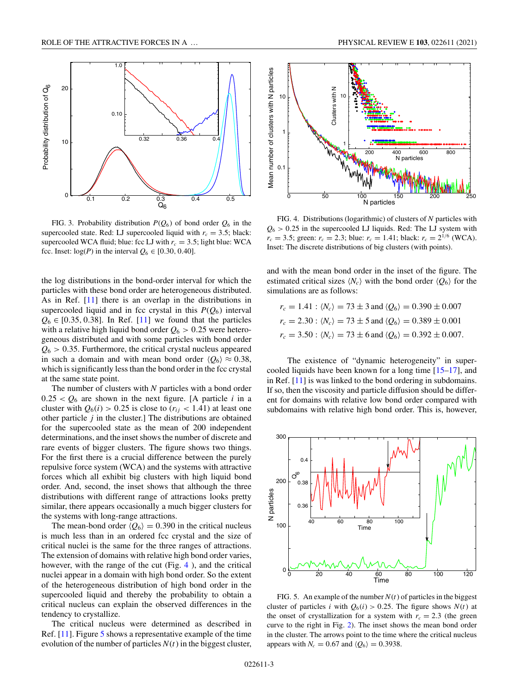<span id="page-2-0"></span>

FIG. 3. Probability distribution  $P(Q_6)$  of bond order  $Q_6$  in the supercooled state. Red: LJ supercooled liquid with  $r_c = 3.5$ ; black: supercooled WCA fluid; blue: fcc LJ with  $r_c = 3.5$ ; light blue: WCA fcc. Inset:  $log(P)$  in the interval  $Q_6 \in [0.30, 0.40]$ .

the log distributions in the bond-order interval for which the particles with these bond order are heterogeneous distributed. As in Ref. [\[11\]](#page-3-0) there is an overlap in the distributions in supercooled liquid and in fcc crystal in this  $P(Q_6)$  interval  $Q_6 \in [0.35, 0.38]$ . In Ref. [\[11\]](#page-3-0) we found that the particles with a relative high liquid bond order  $Q_6 > 0.25$  were heterogeneous distributed and with some particles with bond order  $Q_6$  > 0.35. Furthermore, the critical crystal nucleus appeared in such a domain and with mean bond order  $\langle Q_6 \rangle \approx 0.38$ , which is significantly less than the bond order in the fcc crystal at the same state point.

The number of clusters with *N* particles with a bond order  $0.25 < Q_6$  are shown in the next figure. [A particle *i* in a cluster with  $Q_6(i) > 0.25$  is close to  $(r_{ij} < 1.41)$  at least one other particle *j* in the cluster.] The distributions are obtained for the supercooled state as the mean of 200 independent determinations, and the inset shows the number of discrete and rare events of bigger clusters. The figure shows two things. For the first there is a crucial difference between the purely repulsive force system (WCA) and the systems with attractive forces which all exhibit big clusters with high liquid bond order. And, second, the inset shows that although the three distributions with different range of attractions looks pretty similar, there appears occasionally a much bigger clusters for the systems with long-range attractions.

The mean-bond order  $\langle Q_6 \rangle = 0.390$  in the critical nucleus is much less than in an ordered fcc crystal and the size of critical nuclei is the same for the three ranges of attractions. The extension of domains with relative high bond order varies, however, with the range of the cut (Fig. 4), and the critical nuclei appear in a domain with high bond order. So the extent of the heterogeneous distribution of high bond order in the supercooled liquid and thereby the probability to obtain a critical nucleus can explain the observed differences in the tendency to crystallize.

The critical nucleus were determined as described in Ref. [\[11\]](#page-3-0). Figure 5 shows a representative example of the time evolution of the number of particles  $N(t)$  in the biggest cluster,



FIG. 4. Distributions (logarithmic) of clusters of *N* particles with  $Q_6$  > 0.25 in the supercooled LJ liquids. Red: The LJ system with  $r_c = 3.5$ ; green:  $r_c = 2.3$ ; blue:  $r_c = 1.41$ ; black:  $r_c = 2^{1/6}$  (WCA). Inset: The discrete distributions of big clusters (with points).

and with the mean bond order in the inset of the figure. The estimated critical sizes  $\langle N_c \rangle$  with the bond order  $\langle Q_6 \rangle$  for the simulations are as follows:

$$
r_c = 1.41 : \langle N_c \rangle = 73 \pm 3 \text{ and } \langle Q_6 \rangle = 0.390 \pm 0.007
$$
  
\n $r_c = 2.30 : \langle N_c \rangle = 73 \pm 5 \text{ and } \langle Q_6 \rangle = 0.389 \pm 0.001$   
\n $r_c = 3.50 : \langle N_c \rangle = 73 \pm 6 \text{ and } \langle Q_6 \rangle = 0.392 \pm 0.007.$ 

The existence of "dynamic heterogeneity" in supercooled liquids have been known for a long time [\[15–17\]](#page-3-0), and in Ref. [\[11\]](#page-3-0) is was linked to the bond ordering in subdomains. If so, then the viscosity and particle diffusion should be different for domains with relative low bond order compared with subdomains with relative high bond order. This is, however,



FIG. 5. An example of the number  $N(t)$  of particles in the biggest cluster of particles *i* with  $Q_6(i) > 0.25$ . The figure shows  $N(t)$  at the onset of crystallization for a system with  $r_c = 2.3$  (the green curve to the right in Fig. [2\)](#page-1-0). The inset shows the mean bond order in the cluster. The arrows point to the time where the critical nucleus appears with  $N_c = 0.67$  and  $\langle Q_6 \rangle = 0.3938$ .